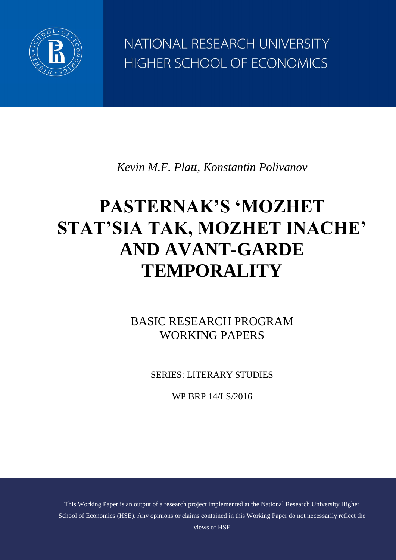

NATIONAL RESEARCH UNIVERSITY HIGHER SCHOOL OF ECONOMICS

*Kevin M.F. Platt, Konstantin Polivanov*

# **PASTERNAK'S 'MOZHET STAT'SIA TAK, MOZHET INACHE' AND AVANT-GARDE TEMPORALITY**

BASIC RESEARCH PROGRAM WORKING PAPERS

SERIES: LITERARY STUDIES

WP BRP 14/LS/2016

This Working Paper is an output of a research project implemented at the National Research University Higher School of Economics (HSE). Any opinions or claims contained in this Working Paper do not necessarily reflect the views of HSE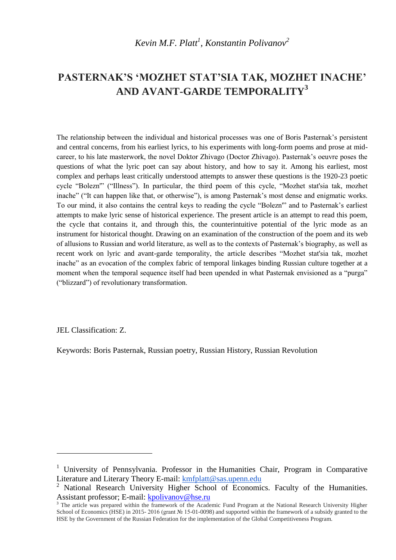# **PASTERNAK'S 'MOZHET STAT'SIA TAK, MOZHET INACHE' AND AVANT-GARDE TEMPORALITY<sup>3</sup>**

The relationship between the individual and historical processes was one of Boris Pasternak's persistent and central concerns, from his earliest lyrics, to his experiments with long-form poems and prose at midcareer, to his late masterwork, the novel Doktor Zhivago (Doctor Zhivago). Pasternak's oeuvre poses the questions of what the lyric poet can say about history, and how to say it. Among his earliest, most complex and perhaps least critically understood attempts to answer these questions is the 1920-23 poetic cycle "Bolezn'" ("Illness"). In particular, the third poem of this cycle, "Mozhet stat'sia tak, mozhet inache" ("It can happen like that, or otherwise"), is among Pasternak's most dense and enigmatic works. To our mind, it also contains the central keys to reading the cycle "Bolezn'" and to Pasternak's earliest attempts to make lyric sense of historical experience. The present article is an attempt to read this poem, the cycle that contains it, and through this, the counterintuitive potential of the lyric mode as an instrument for historical thought. Drawing on an examination of the construction of the poem and its web of allusions to Russian and world literature, as well as to the contexts of Pasternak's biography, as well as recent work on lyric and avant-garde temporality, the article describes "Mozhet stat'sia tak, mozhet inache" as an evocation of the complex fabric of temporal linkages binding Russian culture together at a moment when the temporal sequence itself had been upended in what Pasternak envisioned as a "purga" ("blizzard") of revolutionary transformation.

JEL Classification: Z.

 $\overline{a}$ 

Keywords: Boris Pasternak, Russian poetry, Russian History, Russian Revolution

<sup>&</sup>lt;sup>1</sup> University of Pennsylvania. Professor in the Humanities Chair, Program in Comparative Literature and Literary Theory E-mail: [kmfplatt@sas.upenn.edu](mailto:kmfplatt@sas.upenn.edu)

<sup>2</sup> National Research University Higher School of Economics. Faculty of the Humanities. Assistant professor; E-mail: [kpolivanov@hse.ru](mailto:kpolivanov@hse.ru)

<sup>&</sup>lt;sup>3</sup> The article was prepared within the framework of the Academic Fund Program at the National Research University Higher School of Economics (HSE) in 2015-2016 (grant № 15-01-0098) and supported within the framework of a subsidy granted to the HSE by the Government of the Russian Federation for the implementation of the Global Competitiveness Program.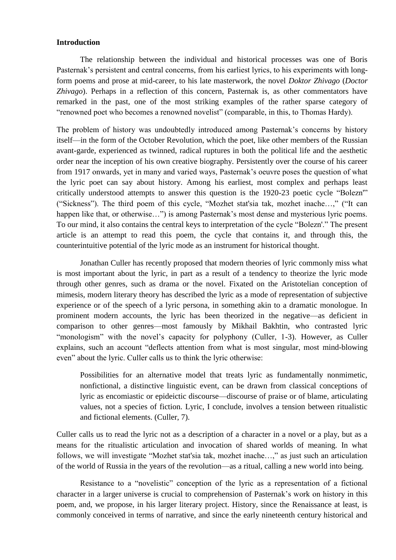### **Introduction**

The relationship between the individual and historical processes was one of Boris Pasternak's persistent and central concerns, from his earliest lyrics, to his experiments with longform poems and prose at mid-career, to his late masterwork, the novel *Doktor Zhivago* (*Doctor Zhivago*). Perhaps in a reflection of this concern, Pasternak is, as other commentators have remarked in the past, one of the most striking examples of the rather sparse category of "renowned poet who becomes a renowned novelist" (comparable, in this, to Thomas Hardy).

The problem of history was undoubtedly introduced among Pasternak's concerns by history itself—in the form of the October Revolution, which the poet, like other members of the Russian avant-garde, experienced as twinned, radical ruptures in both the political life and the aesthetic order near the inception of his own creative biography. Persistently over the course of his career from 1917 onwards, yet in many and varied ways, Pasternak's oeuvre poses the question of what the lyric poet can say about history. Among his earliest, most complex and perhaps least critically understood attempts to answer this question is the 1920-23 poetic cycle "Bolezn'" ("Sickness"). The third poem of this cycle, "Mozhet stat'sia tak, mozhet inache…," ("It can happen like that, or otherwise...") is among Pasternak's most dense and mysterious lyric poems. To our mind, it also contains the central keys to interpretation of the cycle "Bolezn'." The present article is an attempt to read this poem, the cycle that contains it, and through this, the counterintuitive potential of the lyric mode as an instrument for historical thought.

Jonathan Culler has recently proposed that modern theories of lyric commonly miss what is most important about the lyric, in part as a result of a tendency to theorize the lyric mode through other genres, such as drama or the novel. Fixated on the Aristotelian conception of mimesis, modern literary theory has described the lyric as a mode of representation of subjective experience or of the speech of a lyric persona, in something akin to a dramatic monologue. In prominent modern accounts, the lyric has been theorized in the negative—as deficient in comparison to other genres—most famously by Mikhail Bakhtin, who contrasted lyric "monologism" with the novel's capacity for polyphony (Culler, 1-3). However, as Culler explains, such an account "deflects attention from what is most singular, most mind-blowing even" about the lyric. Culler calls us to think the lyric otherwise:

Possibilities for an alternative model that treats lyric as fundamentally nonmimetic, nonfictional, a distinctive linguistic event, can be drawn from classical conceptions of lyric as encomiastic or epideictic discourse—discourse of praise or of blame, articulating values, not a species of fiction. Lyric, I conclude, involves a tension between ritualistic and fictional elements. (Culler, 7).

Culler calls us to read the lyric not as a description of a character in a novel or a play, but as a means for the ritualistic articulation and invocation of shared worlds of meaning. In what follows, we will investigate "Mozhet stat'sia tak, mozhet inache…," as just such an articulation of the world of Russia in the years of the revolution—as a ritual, calling a new world into being.

Resistance to a "novelistic" conception of the lyric as a representation of a fictional character in a larger universe is crucial to comprehension of Pasternak's work on history in this poem, and, we propose, in his larger literary project. History, since the Renaissance at least, is commonly conceived in terms of narrative, and since the early nineteenth century historical and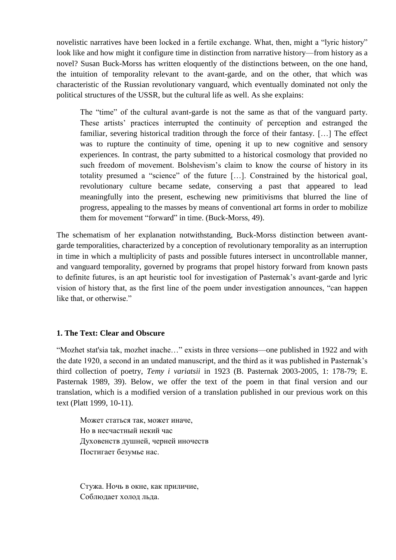novelistic narratives have been locked in a fertile exchange. What, then, might a "lyric history" look like and how might it configure time in distinction from narrative history—from history as a novel? Susan Buck-Morss has written eloquently of the distinctions between, on the one hand, the intuition of temporality relevant to the avant-garde, and on the other, that which was characteristic of the Russian revolutionary vanguard, which eventually dominated not only the political structures of the USSR, but the cultural life as well. As she explains:

The "time" of the cultural avant-garde is not the same as that of the vanguard party. These artists' practices interrupted the continuity of perception and estranged the familiar, severing historical tradition through the force of their fantasy. […] The effect was to rupture the continuity of time, opening it up to new cognitive and sensory experiences. In contrast, the party submitted to a historical cosmology that provided no such freedom of movement. Bolshevism's claim to know the course of history in its totality presumed a "science" of the future […]. Constrained by the historical goal, revolutionary culture became sedate, conserving a past that appeared to lead meaningfully into the present, eschewing new primitivisms that blurred the line of progress, appealing to the masses by means of conventional art forms in order to mobilize them for movement "forward" in time. (Buck-Morss, 49).

The schematism of her explanation notwithstanding, Buck-Morss distinction between avantgarde temporalities, characterized by a conception of revolutionary temporality as an interruption in time in which a multiplicity of pasts and possible futures intersect in uncontrollable manner, and vanguard temporality, governed by programs that propel history forward from known pasts to definite futures, is an apt heuristic tool for investigation of Pasternak's avant-garde and lyric vision of history that, as the first line of the poem under investigation announces, "can happen like that, or otherwise."

# **1. The Text: Clear and Obscure**

"Mozhet stat'sia tak, mozhet inache…" exists in three versions—one published in 1922 and with the date 1920, a second in an undated manuscript, and the third as it was published in Pasternak's third collection of poetry, *Temy i variatsii* in 1923 (B. Pasternak 2003-2005, 1: 178-79; E. Pasternak 1989, 39). Below, we offer the text of the poem in that final version and our translation, which is a modified version of a translation published in our previous work on this text (Platt 1999, 10-11).

Может статься так, может иначе, Но в несчастный некий час Духовенств душней, черней иночеств Постигает безумье нас.

Стужа. Ночь в окне, как приличие, Соблюдает холод льда.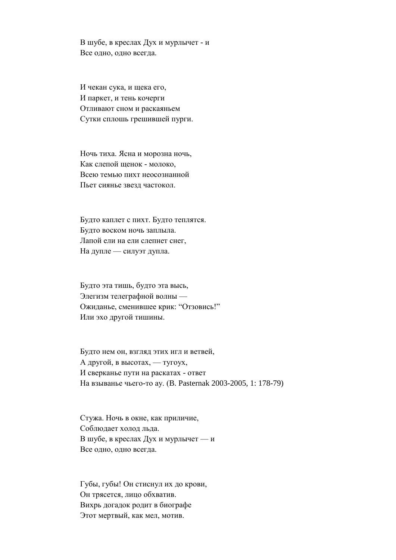В шубе, в креслах Дух и мурлычет - и Все одно, одно всегда.

И чекан сука, и щека его, И паркет, и тень кочерги Отливают сном и раскаяньем Сутки сплошь грешившей пурги.

Ночь тиха. Ясна и морозна ночь, Как слепой щенок - молоко, Всею темью пихт неосознанной Пьет сиянье звезд частокол.

Будто каплет с пихт. Будто теплятся. Будто воском ночь заплыла. Лапой ели на ели слепнет снег, На дупле — силуэт дупла.

Будто эта тишь, будто эта высь, Элегизм телеграфной волны — Ожиданье, сменившее крик: "Отзовись!" Или эхо другой тишины.

Будто нем он, взгляд этих игл и ветвей, А другой, в высотах, — тугоух, И сверканье пути на раскатах - ответ На взыванье чьего-то ау. (B. Pasternak 2003-2005, 1: 178-79)

Стужа. Ночь в окне, как приличие, Соблюдает холод льда. В шубе, в креслах Дух и мурлычет — и Все одно, одно всегда.

Губы, губы! Он стиснул их до крови, Он трясется, лицо обхватив. Вихрь догадок родит в биографе Этот мертвый, как мел, мотив.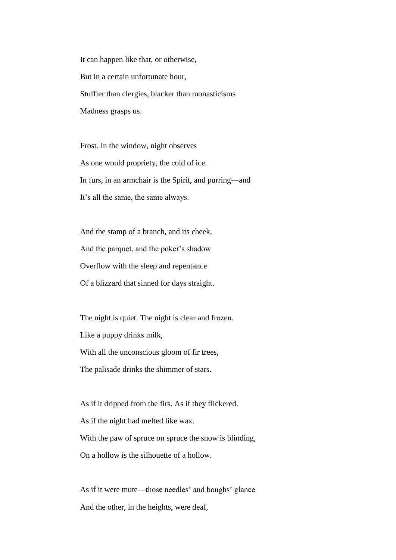It can happen like that, or otherwise, But in a certain unfortunate hour, Stuffier than clergies, blacker than monasticisms Madness grasps us.

Frost. In the window, night observes As one would propriety, the cold of ice. In furs, in an armchair is the Spirit, and purring—and It's all the same, the same always.

And the stamp of a branch, and its cheek, And the parquet, and the poker's shadow Overflow with the sleep and repentance Of a blizzard that sinned for days straight.

The night is quiet. The night is clear and frozen. Like a puppy drinks milk, With all the unconscious gloom of fir trees, The palisade drinks the shimmer of stars.

As if it dripped from the firs. As if they flickered. As if the night had melted like wax. With the paw of spruce on spruce the snow is blinding, On a hollow is the silhouette of a hollow.

As if it were mute—those needles' and boughs' glance And the other, in the heights, were deaf,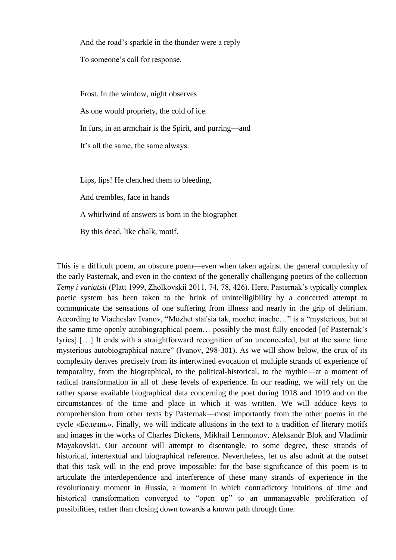And the road's sparkle in the thunder were a reply

To someone's call for response.

Frost. In the window, night observes

As one would propriety, the cold of ice.

In furs, in an armchair is the Spirit, and purring—and

It's all the same, the same always.

Lips, lips! He clenched them to bleeding,

And trembles, face in hands

A whirlwind of answers is born in the biographer

By this dead, like chalk, motif.

This is a difficult poem, an obscure poem—even when taken against the general complexity of the early Pasternak, and even in the context of the generally challenging poetics of the collection *Temy i variatsii* (Platt 1999, Zholkovskii 2011, 74, 78, 426). Here, Pasternak's typically complex poetic system has been taken to the brink of unintelligibility by a concerted attempt to communicate the sensations of one suffering from illness and nearly in the grip of delirium. According to Viacheslav Ivanov, "Mozhet stat'sia tak, mozhet inache…" is a "mysterious, but at the same time openly autobiographical poem… possibly the most fully encoded [of Pasternak's lyrics] […] It ends with a straightforward recognition of an unconcealed, but at the same time mysterious autobiographical nature" (Ivanov, 298-301). As we will show below, the crux of its complexity derives precisely from its intertwined evocation of multiple strands of experience of temporality, from the biographical, to the political-historical, to the mythic—at a moment of radical transformation in all of these levels of experience. In our reading, we will rely on the rather sparse available biographical data concerning the poet during 1918 and 1919 and on the circumstances of the time and place in which it was written. We will adduce keys to comprehension from other texts by Pasternak—most importantly from the other poems in the cycle «Болезнь». Finally, we will indicate allusions in the text to a tradition of literary motifs and images in the works of Charles Dickens, Mikhail Lermontov, Aleksandr Blok and Vladimir Mayakovskii. Our account will attempt to disentangle, to some degree, these strands of historical, intertextual and biographical reference. Nevertheless, let us also admit at the outset that this task will in the end prove impossible: for the base significance of this poem is to articulate the interdependence and interference of these many strands of experience in the revolutionary moment in Russia, a moment in which contradictory intuitions of time and historical transformation converged to "open up" to an unmanageable proliferation of possibilities, rather than closing down towards a known path through time.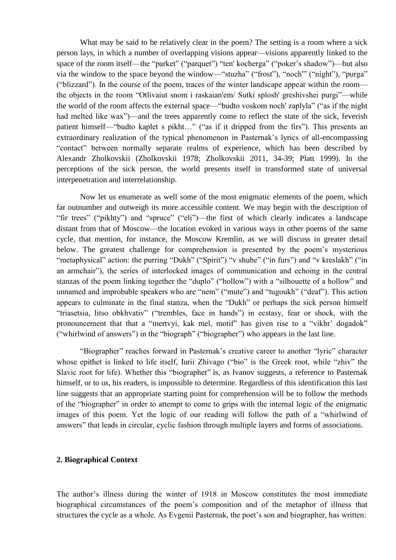What may be said to be relatively clear in the poem? The setting is a room where a sick person lays, in which a number of overlapping visions appear—visions apparently linked to the space of the room itself—the "parket" ("parquet") "ten' kocherga" ("poker's shadow")—but also via the window to the space beyond the window—"stuzha" ("frost"), "noch'" ("night"), "purga" ("blizzard"). In the course of the poem, traces of the winter landscape appear within the room the objects in the room "Otlivaiut snom i raskaian'em/ Sutki splosh' greshivshei purgi"—while the world of the room affects the external space—"budto voskom noch' zaplyla" ("as if the night had melted like wax")—and the trees apparently come to reflect the state of the sick, feverish patient himself—"budto kaplet s pikht…" ("as if it dripped from the firs"). This presents an extraordinary realization of the typical phenomenon in Pasternak's lyrics of all-encompassing "contact" between normally separate realms of experience, which has been described by Alexandr Zholkovskii (Zholkovskii 1978; Zholkovskii 2011, 34-39; Platt 1999). In the perceptions of the sick person, the world presents itself in transformed state of universal interpenetration and interrelationship.

Now let us enumerate as well some of the most enigmatic elements of the poem, which far outnumber and outweigh its more accessible content. We may begin with the description of "fir trees" ("pikhty") and "spruce" ("eli")—the first of which clearly indicates a landscape distant from that of Moscow—the location evoked in various ways in other poems of the same cycle, that mention, for instance, the Moscow Kremlin, as we will discuss in greater detail below. The greatest challenge for comprehension is presented by the poem's mysterious "metaphysical" action: the purring "Dukh" ("Spirit") "v shube" ("in furs") and "v kreslakh" ("in an armchair"), the series of interlocked images of communication and echoing in the central stanzas of the poem linking together the "duplo" ("hollow") with a "silhouette of a hollow" and unnamed and improbable speakers who are "nem" ("mute") and "tugoukh" ("deaf"). This action appears to culminate in the final stanza, when the "Dukh" or perhaps the sick person himself "triasetsia, litso obkhvativ" ("trembles, face in hands") in ecstasy, fear or shock, with the pronouncement that that a "mertvyi, kak mel, motif" has given rise to a "vikhr' dogadok" ("whirlwind of answers") in the "biograph" ("biographer") who appears in the last line.

"Biographer" reaches forward in Pasternak's creative career to another "lyric" character whose epithet is linked to life itself, Iurii Zhivago ("bio" is the Greek root, while "zhiv" the Slavic root for life). Whether this "biographer" is, as Ivanov suggests, a reference to Pasternak himself, or to us, his readers, is impossible to determine. Regardless of this identification this last line suggests that an appropriate starting point for comprehension will be to follow the methods of the "biographer" in order to attempt to come to grips with the internal logic of the enigmatic images of this poem. Yet the logic of our reading will follow the path of a "whirlwind of answers" that leads in circular, cyclic fashion through multiple layers and forms of associations.

#### **2. Biographical Context**

The author's illness during the winter of 1918 in Moscow constitutes the most immediate biographical circumstances of the poem's composition and of the metaphor of illness that structures the cycle as a whole. As Evgenii Pasternak, the poet's son and biographer, has written: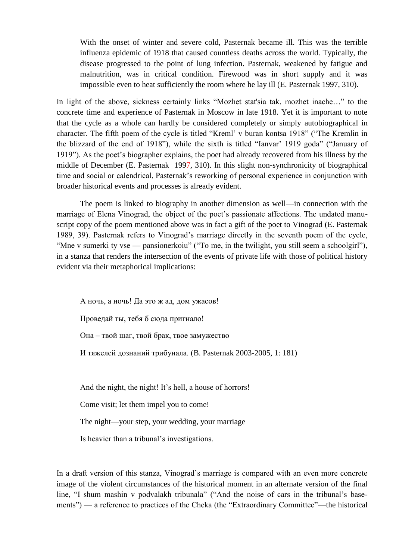With the onset of winter and severe cold, Pasternak became ill. This was the terrible influenza epidemic of 1918 that caused countless deaths across the world. Typically, the disease progressed to the point of lung infection. Pasternak, weakened by fatigue and malnutrition, was in critical condition. Firewood was in short supply and it was impossible even to heat sufficiently the room where he lay ill (E. Pasternak 1997, 310).

In light of the above, sickness certainly links "Mozhet stat'sia tak, mozhet inache…" to the concrete time and experience of Pasternak in Moscow in late 1918. Yet it is important to note that the cycle as a whole can hardly be considered completely or simply autobiographical in character. The fifth poem of the cycle is titled "Kreml' v buran kontsa 1918" ("The Kremlin in the blizzard of the end of 1918"), while the sixth is titled "Ianvar' 1919 goda" ("January of 1919"). As the poet's biographer explains, the poet had already recovered from his illness by the middle of December (E. Pasternak 1997, 310). In this slight non-synchronicity of biographical time and social or calendrical, Pasternak's reworking of personal experience in conjunction with broader historical events and processes is already evident.

The poem is linked to biography in another dimension as well—in connection with the marriage of Elena Vinograd, the object of the poet's passionate affections. The undated manuscript copy of the poem mentioned above was in fact a gift of the poet to Vinograd (E. Pasternak 1989, 39). Pasternak refers to Vinograd's marriage directly in the seventh poem of the cycle, "Mne v sumerki ty vse — pansionerkoiu" ("To me, in the twilight, you still seem a schoolgirl"), in a stanza that renders the intersection of the events of private life with those of political history evident via their metaphorical implications:

А ночь, а ночь! Да это ж ад, дом ужасов!

Проведай ты, тебя б сюда пригнало!

Она – твой шаг, твой брак, твое замужество

И тяжелей дознаний трибунала. (B. Pasternak 2003-2005, 1: 181)

And the night, the night! It's hell, a house of horrors!

Come visit; let them impel you to come!

The night—your step, your wedding, your marriage

Is heavier than a tribunal's investigations.

In a draft version of this stanza, Vinograd's marriage is compared with an even more concrete image of the violent circumstances of the historical moment in an alternate version of the final line, "I shum mashin v podvalakh tribunala" ("And the noise of cars in the tribunal's basements") — a reference to practices of the Cheka (the "Extraordinary Committee"—the historical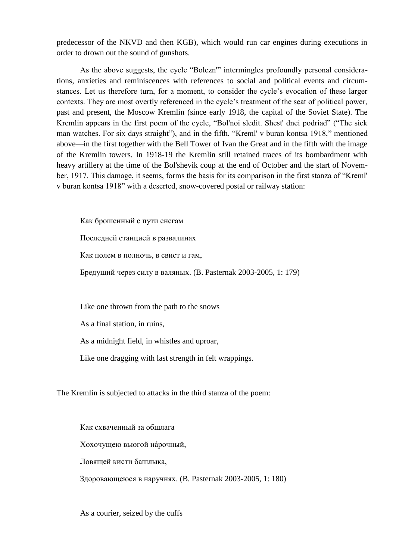predecessor of the NKVD and then KGB), which would run car engines during executions in order to drown out the sound of gunshots.

As the above suggests, the cycle "Bolezn'" intermingles profoundly personal considerations, anxieties and reminiscences with references to social and political events and circumstances. Let us therefore turn, for a moment, to consider the cycle's evocation of these larger contexts. They are most overtly referenced in the cycle's treatment of the seat of political power, past and present, the Moscow Kremlin (since early 1918, the capital of the Soviet State). The Kremlin appears in the first poem of the cycle, "Bol'noi sledit. Shest' dnei podriad" ("The sick man watches. For six days straight"), and in the fifth, "Kreml' v buran kontsa 1918," mentioned above—in the first together with the Bell Tower of Ivan the Great and in the fifth with the image of the Kremlin towers. In 1918-19 the Kremlin still retained traces of its bombardment with heavy artillery at the time of the Bol'shevik coup at the end of October and the start of November, 1917. This damage, it seems, forms the basis for its comparison in the first stanza of "Kreml' v buran kontsa 1918" with a deserted, snow-covered postal or railway station:

Как брошенный с пути снегам Последней станцией в развалинах Как полем в полночь, в свист и гам, Бредущий через силу в валяных. (B. Pasternak 2003-2005, 1: 179)

Like one thrown from the path to the snows

As a final station, in ruins,

As a midnight field, in whistles and uproar,

Like one dragging with last strength in felt wrappings.

The Kremlin is subjected to attacks in the third stanza of the poem:

Как схваченный за обшлага Хохочущею вьюгой нáрочный, Ловящей кисти башлыка, Здоровающеюся в наручнях. (B. Pasternak 2003-2005, 1: 180)

As a courier, seized by the cuffs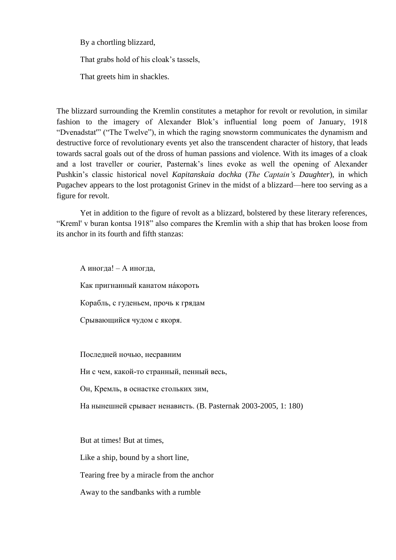By a chortling blizzard,

That grabs hold of his cloak's tassels,

That greets him in shackles.

The blizzard surrounding the Kremlin constitutes a metaphor for revolt or revolution, in similar fashion to the imagery of Alexander Blok's influential long poem of January, 1918 "Dvenadstat'" ("The Twelve"), in which the raging snowstorm communicates the dynamism and destructive force of revolutionary events yet also the transcendent character of history, that leads towards sacral goals out of the dross of human passions and violence. With its images of a cloak and a lost traveller or courier, Pasternak's lines evoke as well the opening of Alexander Pushkin's classic historical novel *Kapitanskaia dochka* (*The Captain's Daughter*), in which Pugachev appears to the lost protagonist Grinev in the midst of a blizzard—here too serving as a figure for revolt.

Yet in addition to the figure of revolt as a blizzard, bolstered by these literary references, "Kreml' v buran kontsa 1918" also compares the Kremlin with a ship that has broken loose from its anchor in its fourth and fifth stanzas:

А иногда! – А иногда, Как пригнанный канатом нáкороть Корабль, с гуденьем, прочь к грядам Срывающийся чудом с якоря.

Последней ночью, несравним

Ни с чем, какой-то странный, пенный весь,

Он, Кремль, в оснастке стольких зим,

На нынешней срывает ненависть. (B. Pasternak 2003-2005, 1: 180)

But at times! But at times,

Like a ship, bound by a short line,

Tearing free by a miracle from the anchor

Away to the sandbanks with a rumble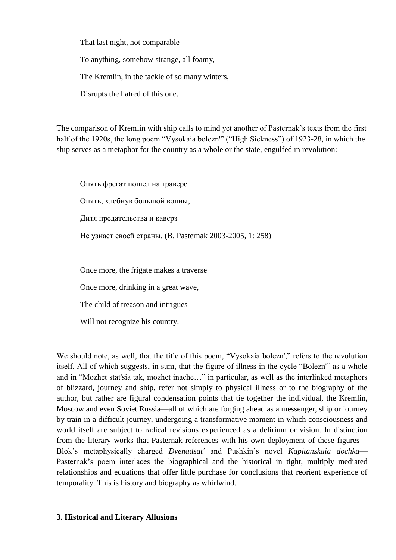That last night, not comparable

To anything, somehow strange, all foamy,

The Kremlin, in the tackle of so many winters,

Disrupts the hatred of this one.

The comparison of Kremlin with ship calls to mind yet another of Pasternak's texts from the first half of the 1920s, the long poem "Vysokaia bolezn"' ("High Sickness") of 1923-28, in which the ship serves as a metaphor for the country as a whole or the state, engulfed in revolution:

Опять фрегат пошел на траверс Опять, хлебнув большой волны, Дитя предательства и каверз Не узнает своей страны. (B. Pasternak 2003-2005, 1: 258)

Once more, the frigate makes a traverse

Once more, drinking in a great wave,

The child of treason and intrigues

Will not recognize his country.

We should note, as well, that the title of this poem. "Vysokaia bolezn'," refers to the revolution itself. All of which suggests, in sum, that the figure of illness in the cycle "Bolezn'" as a whole and in "Mozhet stat'sia tak, mozhet inache…" in particular, as well as the interlinked metaphors of blizzard, journey and ship, refer not simply to physical illness or to the biography of the author, but rather are figural condensation points that tie together the individual, the Kremlin, Moscow and even Soviet Russia—all of which are forging ahead as a messenger, ship or journey by train in a difficult journey, undergoing a transformative moment in which consciousness and world itself are subject to radical revisions experienced as a delirium or vision. In distinction from the literary works that Pasternak references with his own deployment of these figures— Blok's metaphysically charged *Dvenadsat'* and Pushkin's novel *Kapitanskaia dochka*— Pasternak's poem interlaces the biographical and the historical in tight, multiply mediated relationships and equations that offer little purchase for conclusions that reorient experience of temporality. This is history and biography as whirlwind.

#### **3. Historical and Literary Allusions**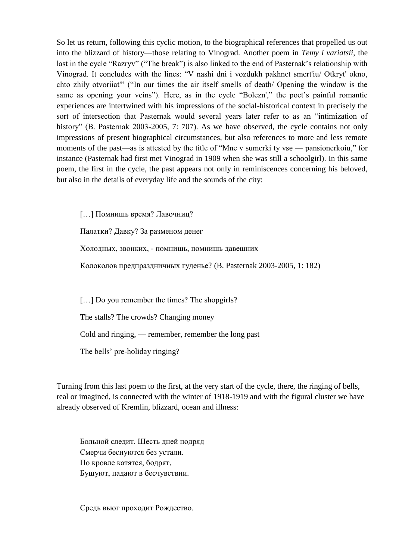So let us return, following this cyclic motion, to the biographical references that propelled us out into the blizzard of history—those relating to Vinograd. Another poem in *Temy i variatsii*, the last in the cycle "Razryv" ("The break") is also linked to the end of Pasternak's relationship with Vinograd. It concludes with the lines: "V nashi dni i vozdukh pakhnet smert'iu/ Otkryt' okno, chto zhily otvoriiat'" ("In our times the air itself smells of death/ Opening the window is the same as opening your veins"). Here, as in the cycle "Bolezn'," the poet's painful romantic experiences are intertwined with his impressions of the social-historical context in precisely the sort of intersection that Pasternak would several years later refer to as an "intimization of history" (B. Pasternak 2003-2005, 7: 707). As we have observed, the cycle contains not only impressions of present biographical circumstances, but also references to more and less remote moments of the past—as is attested by the title of "Mne v sumerki ty vse — pansionerkoiu," for instance (Pasternak had first met Vinograd in 1909 when she was still a schoolgirl). In this same poem, the first in the cycle, the past appears not only in reminiscences concerning his beloved, but also in the details of everyday life and the sounds of the city:

[…] Помнишь время? Лавочниц?

Палатки? Давку? За разменом денег

Холодных, звонких, - помнишь, помнишь давешних

Колоколов предпраздничных гуденье? (B. Pasternak 2003-2005, 1: 182)

[...] Do you remember the times? The shopgirls?

The stalls? The crowds? Changing money

Cold and ringing, — remember, remember the long past

The bells' pre-holiday ringing?

Turning from this last poem to the first, at the very start of the cycle, there, the ringing of bells, real or imagined, is connected with the winter of 1918-1919 and with the figural cluster we have already observed of Kremlin, blizzard, ocean and illness:

Больной следит. Шесть дней подряд Смерчи беснуются без устали. По кровле катятся, бодрят, Бушуют, падают в бесчувствии.

Средь вьюг проходит Рождество.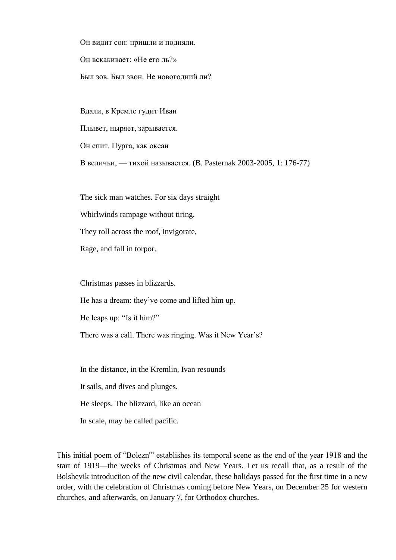Он видит сон: пришли и подняли. Он вскакивает: «Не его ль?» Был зов. Был звон. Не новогодний ли?

Вдали, в Кремле гудит Иван Плывет, ныряет, зарывается. Он спит. Пурга, как океан В величьи, — тихой называется. (B. Pasternak 2003-2005, 1: 176-77)

The sick man watches. For six days straight

Whirlwinds rampage without tiring.

They roll across the roof, invigorate,

Rage, and fall in torpor.

Christmas passes in blizzards.

He has a dream: they've come and lifted him up.

He leaps up: "Is it him?"

There was a call. There was ringing. Was it New Year's?

In the distance, in the Kremlin, Ivan resounds

It sails, and dives and plunges.

He sleeps. The blizzard, like an ocean

In scale, may be called pacific.

This initial poem of "Bolezn'" establishes its temporal scene as the end of the year 1918 and the start of 1919—the weeks of Christmas and New Years. Let us recall that, as a result of the Bolshevik introduction of the new civil calendar, these holidays passed for the first time in a new order, with the celebration of Christmas coming before New Years, on December 25 for western churches, and afterwards, on January 7, for Orthodox churches.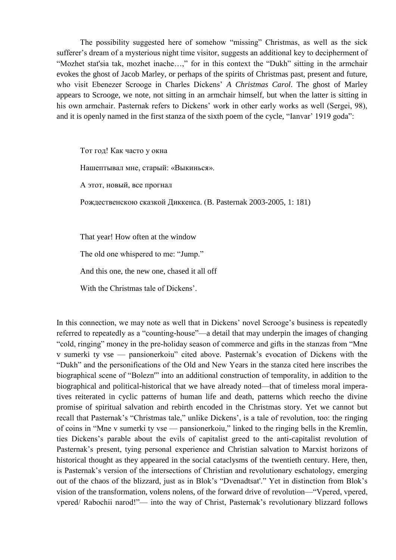The possibility suggested here of somehow "missing" Christmas, as well as the sick sufferer's dream of a mysterious night time visitor, suggests an additional key to decipherment of "Mozhet stat'sia tak, mozhet inache…," for in this context the "Dukh" sitting in the armchair evokes the ghost of Jacob Marley, or perhaps of the spirits of Christmas past, present and future, who visit Ebenezer Scrooge in Charles Dickens' *A Christmas Carol*. The ghost of Marley appears to Scrooge, we note, not sitting in an armchair himself, but when the latter is sitting in his own armchair. Pasternak refers to Dickens' work in other early works as well (Sergei, 98), and it is openly named in the first stanza of the sixth poem of the cycle, "Ianvar' 1919 goda":

Тот год! Как часто у окна

Нашептывал мне, старый: «Выкинься».

А этот, новый, все прогнал

Рождественскою сказкой Диккенса. (B. Pasternak 2003-2005, 1: 181)

That year! How often at the window

The old one whispered to me: "Jump."

And this one, the new one, chased it all off

With the Christmas tale of Dickens'.

In this connection, we may note as well that in Dickens' novel Scrooge's business is repeatedly referred to repeatedly as a "counting-house"—a detail that may underpin the images of changing "cold, ringing" money in the pre-holiday season of commerce and gifts in the stanzas from "Mne v sumerki ty vse — pansionerkoiu" cited above. Pasternak's evocation of Dickens with the "Dukh" and the personifications of the Old and New Years in the stanza cited here inscribes the biographical scene of "Bolezn'" into an additional construction of temporality, in addition to the biographical and political-historical that we have already noted—that of timeless moral imperatives reiterated in cyclic patterns of human life and death, patterns which reecho the divine promise of spiritual salvation and rebirth encoded in the Christmas story. Yet we cannot but recall that Pasternak's "Christmas tale," unlike Dickens', is a tale of revolution, too: the ringing of coins in "Mne v sumerki ty vse — pansionerkoiu," linked to the ringing bells in the Kremlin, ties Dickens's parable about the evils of capitalist greed to the anti-capitalist revolution of Pasternak's present, tying personal experience and Christian salvation to Marxist horizons of historical thought as they appeared in the social cataclysms of the twentieth century. Here, then, is Pasternak's version of the intersections of Christian and revolutionary eschatology, emerging out of the chaos of the blizzard, just as in Blok's "Dvenadtsat'." Yet in distinction from Blok's vision of the transformation, volens nolens, of the forward drive of revolution—"Vpered, vpered, vpered/ Rabochii narod!"— into the way of Christ, Pasternak's revolutionary blizzard follows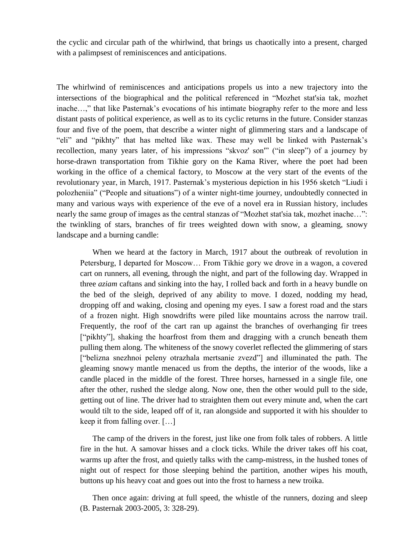the cyclic and circular path of the whirlwind, that brings us chaotically into a present, charged with a palimpsest of reminiscences and anticipations.

The whirlwind of reminiscences and anticipations propels us into a new trajectory into the intersections of the biographical and the political referenced in "Mozhet stat'sia tak, mozhet inache…," that like Pasternak's evocations of his intimate biography refer to the more and less distant pasts of political experience, as well as to its cyclic returns in the future. Consider stanzas four and five of the poem, that describe a winter night of glimmering stars and a landscape of "eli" and "pikhty" that has melted like wax. These may well be linked with Pasternak's recollection, many years later, of his impressions "skvoz' son'" ("in sleep") of a journey by horse-drawn transportation from Tikhie gory on the Kama River, where the poet had been working in the office of a chemical factory, to Moscow at the very start of the events of the revolutionary year, in March, 1917. Pasternak's mysterious depiction in his 1956 sketch "Liudi i polozheniia" ("People and situations") of a winter night-time journey, undoubtedly connected in many and various ways with experience of the eve of a novel era in Russian history, includes nearly the same group of images as the central stanzas of "Mozhet stat'sia tak, mozhet inache…": the twinkling of stars, branches of fir trees weighted down with snow, a gleaming, snowy landscape and a burning candle:

When we heard at the factory in March, 1917 about the outbreak of revolution in Petersburg, I departed for Moscow… From Tikhie gory we drove in a wagon, a covered cart on runners, all evening, through the night, and part of the following day. Wrapped in three *aziam* caftans and sinking into the hay, I rolled back and forth in a heavy bundle on the bed of the sleigh, deprived of any ability to move. I dozed, nodding my head, dropping off and waking, closing and opening my eyes. I saw a forest road and the stars of a frozen night. High snowdrifts were piled like mountains across the narrow trail. Frequently, the roof of the cart ran up against the branches of overhanging fir trees ["pikhty"], shaking the hoarfrost from them and dragging with a crunch beneath them pulling them along. The whiteness of the snowy coverlet reflected the glimmering of stars ["belizna snezhnoi peleny otrazhala mertsanie zvezd"] and illuminated the path. The gleaming snowy mantle menaced us from the depths, the interior of the woods, like a candle placed in the middle of the forest. Three horses, harnessed in a single file, one after the other, rushed the sledge along. Now one, then the other would pull to the side, getting out of line. The driver had to straighten them out every minute and, when the cart would tilt to the side, leaped off of it, ran alongside and supported it with his shoulder to keep it from falling over. […]

The camp of the drivers in the forest, just like one from folk tales of robbers. A little fire in the hut. A samovar hisses and a clock ticks. While the driver takes off his coat, warms up after the frost, and quietly talks with the camp-mistress, in the hushed tones of night out of respect for those sleeping behind the partition, another wipes his mouth, buttons up his heavy coat and goes out into the frost to harness a new troika.

Then once again: driving at full speed, the whistle of the runners, dozing and sleep (B. Pasternak 2003-2005, 3: 328-29).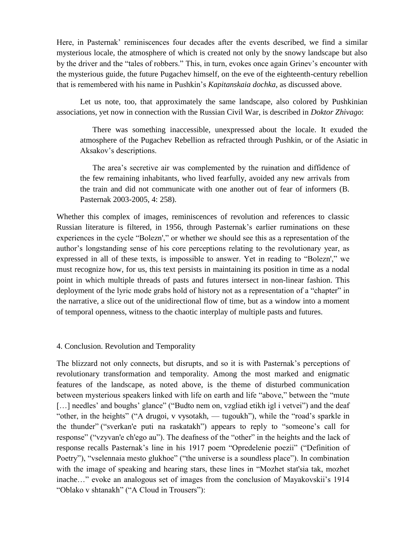Here, in Pasternak' reminiscences four decades after the events described, we find a similar mysterious locale, the atmosphere of which is created not only by the snowy landscape but also by the driver and the "tales of robbers." Тhis, in turn, evokes once again Grinev's encounter with the mysterious guide, the future Pugachev himself, on the eve of the eighteenth-century rebellion that is remembered with his name in Pushkin's *Kapitanskaia dochka*, as discussed above.

Let us note, too, that approximately the same landscape, also colored by Pushkinian associations, yet now in connection with the Russian Civil War, is described in *Doktor Zhivago*:

There was something inaccessible, unexpressed about the locale. It exuded the atmosphere of the Pugachev Rebellion as refracted through Pushkin, or of the Asiatic in Aksakov's descriptions.

The area's secretive air was complemented by the ruination and diffidence of the few remaining inhabitants, who lived fearfully, avoided any new arrivals from the train and did not communicate with one another out of fear of informers (B. Pasternak 2003-2005, 4: 258).

Whether this complex of images, reminiscences of revolution and references to classic Russian literature is filtered, in 1956, through Pasternak's earlier ruminations on these experiences in the cycle "Bolezn'," or whether we should see this as a representation of the author's longstanding sense of his core perceptions relating to the revolutionary year, as expressed in all of these texts, is impossible to answer. Yet in reading to "Bolezn'," we must recognize how, for us, this text persists in maintaining its position in time as a nodal point in which multiple threads of pasts and futures intersect in non-linear fashion. This deployment of the lyric mode grabs hold of history not as a representation of a "chapter" in the narrative, a slice out of the unidirectional flow of time, but as a window into a moment of temporal openness, witness to the chaotic interplay of multiple pasts and futures.

#### 4. Conclusion. Revolution and Temporality

The blizzard not only connects, but disrupts, and so it is with Pasternak's perceptions of revolutionary transformation and temporality. Among the most marked and enigmatic features of the landscape, as noted above, is the theme of disturbed communication between mysterious speakers linked with life on earth and life "above," between the "mute [...] needles' and boughs' glance" ("Budto nem on, vzgliad etikh igl i vetvei") and the deaf "other, in the heights" ("A drugoi, v vysotakh, — tugoukh"), while the "road's sparkle in the thunder" ("sverkan'e puti na raskatakh") appears to reply to "someone's call for response" ("vzyvan'e ch'ego au"). The deafness of the "other" in the heights and the lack of response recalls Pasternak's line in his 1917 poem "Opredelenie poezii" ("Definition of Poetry"), "vselennaia mesto glukhoe" ("the universe is a soundless place"). In combination with the image of speaking and hearing stars, these lines in "Mozhet stat'sia tak, mozhet inache…" evoke an analogous set of images from the conclusion of Mayakovskii's 1914 "Oblako v shtanakh" ("A Cloud in Trousers"):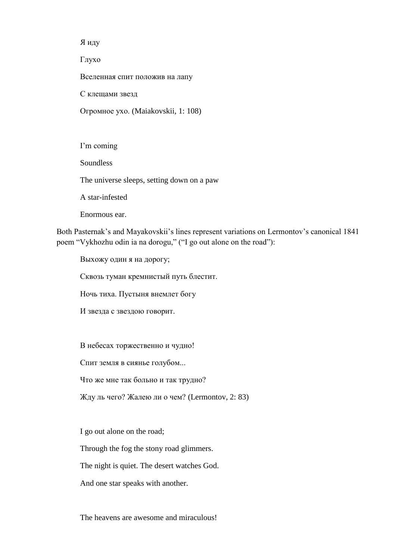Я иду

Глухо

Вселенная спит положив на лапу

С клещами звезд

Огромное ухо. (Maiakovskii, 1: 108)

I'm coming Soundless The universe sleeps, setting down on a paw A star-infested

Enormous ear.

Both Pasternak's and Mayakovskii's lines represent variations on Lermontov's canonical 1841 poem "Vykhozhu odin ia na dorogu," ("I go out alone on the road"):

Выхожу один я на дорогу;

Сквозь туман кремнистый путь блестит.

Ночь тиха. Пустыня внемлет богу

И звезда с звездою говорит.

В небесах торжественно и чудно!

Спит земля в сиянье голубом...

Что же мне так больно и так трудно?

Жду ль чего? Жалею ли о чем? (Lermontov, 2: 83)

I go out alone on the road;

Through the fog the stony road glimmers.

The night is quiet. The desert watches God.

And one star speaks with another.

The heavens are awesome and miraculous!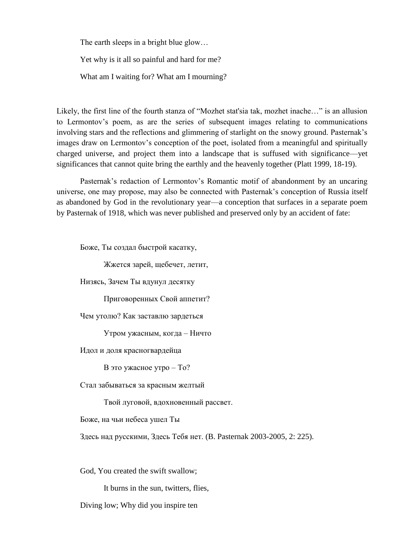The earth sleeps in a bright blue glow...

Yet why is it all so painful and hard for me?

What am I waiting for? What am I mourning?

Likely, the first line of the fourth stanza of "Mozhet stat'sia tak, mozhet inache…" is an allusion to Lermontov's poem, as are the series of subsequent images relating to communications involving stars and the reflections and glimmering of starlight on the snowy ground. Pasternak's images draw on Lermontov's conception of the poet, isolated from a meaningful and spiritually charged universe, and project them into a landscape that is suffused with significance—yet significances that cannot quite bring the earthly and the heavenly together (Platt 1999, 18-19).

Pasternak's redaction of Lermontov's Romantic motif of abandonment by an uncaring universe, one may propose, may also be connected with Pasternak's conception of Russia itself as abandoned by God in the revolutionary year—a conception that surfaces in a separate poem by Pasternak of 1918, which was never published and preserved only by an accident of fate:

Боже, Ты создал быстрой касатку,

Жжется зарей, щебечет, летит,

Низясь, Зачем Ты вдунул десятку

Приговоренных Свой аппетит?

Чем утолю? Как заставлю зардеться

Утром ужасным, когда – Ничто

Идол и доля красногвардейца

В это ужасное утро – То?

Стал забываться за красным желтый

Твой луговой, вдохновенный рассвет.

Боже, на чьи небеса ушел Ты

Здесь над русскими, Здесь Тебя нет. (B. Pasternak 2003-2005, 2: 225).

God, You created the swift swallow;

It burns in the sun, twitters, flies,

Diving low; Why did you inspire ten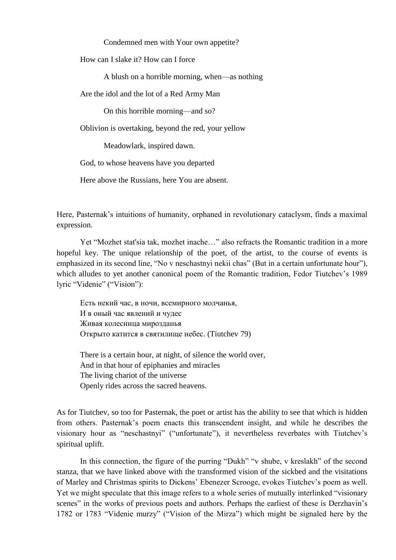Condemned men with Your own appetite?

How can I slake it? How can I force

A blush on a horrible morning, when—as nothing

Are the idol and the lot of a Red Army Man

On this horrible morning—and so?

Oblivion is overtaking, beyond the red, your yellow

Meadowlark, inspired dawn.

God, to whose heavens have you departed

Here above the Russians, here You are absent.

Here, Pasternak's intuitions of humanity, orphaned in revolutionary cataclysm, finds a maximal expression.

Yet "Mozhet stat'sia tak, mozhet inache…" also refracts the Romantic tradition in a more hopeful key. The unique relationship of the poet, of the artist, to the course of events is emphasized in its second line, "No v neschastnyi nekii chas" (But in a certain unfortunate hour"), which alludes to yet another canonical poem of the Romantic tradition, Fedor Tiutchev's 1989 lyric "Videnie" ("Vision"):

Есть некий час, в ночи, всемирного молчанья, И в оный час явлений и чудес Живая колесница мирозданья Открыто катится в святилище небес. (Tiutchev 79)

There is a certain hour, at night, of silence the world over, And in that hour of epiphanies and miracles The living chariot of the universe Openly rides across the sacred heavens.

As for Tiutchev, so too for Pasternak, the poet or artist has the ability to see that which is hidden from others. Pasternak's poem enacts this transcendent insight, and while he describes the visionary hour as "neschastnyi" ("unfortunate"), it nevertheless reverbates with Tiutchev's spiritual uplift.

In this connection, the figure of the purring "Dukh" "v shube, v kreslakh" of the second stanza, that we have linked above with the transformed vision of the sickbed and the visitations of Marley and Christmas spirits to Dickens' Ebenezer Scrooge, evokes Tiutchev's poem as well. Yet we might speculate that this image refers to a whole series of mutually interlinked "visionary scenes" in the works of previous poets and authors. Perhaps the earliest of these is Derzhavin's 1782 or 1783 "Videnie murzy" ("Vision of the Mirza") which might be signaled here by the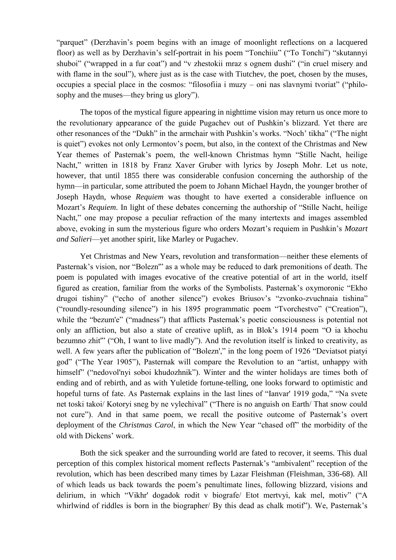"parquet" (Derzhavin's poem begins with an image of moonlight reflections on a lacquered floor) as well as by Derzhavin's self-portrait in his poem "Tonchiiu" ("To Tonchi") "skutannyi shuboi" ("wrapped in a fur coat") and "v zhestokii mraz s ognem dushi" ("in cruel misery and with flame in the soul"), where just as is the case with Tiutchev, the poet, chosen by the muses, occupies a special place in the cosmos: "filosofiia i muzy – oni nas slavnymi tvoriat" ("philosophy and the muses—they bring us glory").

The topos of the mystical figure appearing in nighttime vision may return us once more to the revolutionary appearance of the guide Pugachev out of Pushkin's blizzard. Yet there are other resonances of the "Dukh" in the armchair with Pushkin's works. "Noch' tikha" ("The night is quiet") evokes not only Lermontov's poem, but also, in the context of the Christmas and New Year themes of Pasternak's poem, the well-known Christmas hymn "Stille Nacht, heilige Nacht," written in 1818 by Franz Xaver Gruber with lyrics by Joseph Mohr. Let us note, however, that until 1855 there was considerable confusion concerning the authorship of the hymn—in particular, some attributed the poem to Johann Michael Haydn, the younger brother of Joseph Haydn, whose *Requiem* was thought to have exerted a considerable influence on Mozart's *Requiem*. In light of these debates concerning the authorship of "Stille Nacht, heilige Nacht," one may propose a peculiar refraction of the many intertexts and images assembled above, evoking in sum the mysterious figure who orders Mozart's requiem in Pushkin's *Mozart and Salieri*—yet another spirit, like Marley or Pugachev.

Yet Christmas and New Years, revolution and transformation—neither these elements of Pasternak's vision, nor "Bolezn'" as a whole may be reduced to dark premonitions of death. The poem is populated with images evocative of the creative potential of art in the world, itself figured as creation, familiar from the works of the Symbolists. Pasternak's oxymoronic "Ekho drugoi tishiny" ("echo of another silence") evokes Briusov's "zvonko-zvuchnaia tishina" ("roundly-resounding silence") in his 1895 programmatic poem "Tvorchestvo" ("Creation"), while the "bezum'e" ("madness") that afflicts Pasternak's poetic consciousness is potential not only an affliction, but also a state of creative uplift, as in Blok's 1914 poem "O ia khochu bezumno zhit'" ("Oh, I want to live madly"). And the revolution itself is linked to creativity, as well. A few years after the publication of "Bolezn'," in the long poem of 1926 "Deviatsot piatyi god" ("The Year 1905"), Pasternak will compare the Revolution to an "artist, unhappy with himself" ("nedovol'nyi soboi khudozhnik"). Winter and the winter holidays are times both of ending and of rebirth, and as with Yuletide fortune-telling, one looks forward to optimistic and hopeful turns of fate. As Pasternak explains in the last lines of "Ianvar' 1919 goda," "Na svete net toski takoi/ Kotoryi sneg by ne vylechival" ("There is no anguish on Earth/ That snow could not cure"). And in that same poem, we recall the positive outcome of Pasternak's overt deployment of the *Christmas Carol*, in which the New Year "chased off" the morbidity of the old with Dickens' work.

Both the sick speaker and the surrounding world are fated to recover, it seems. This dual perception of this complex historical moment reflects Pasternak's "ambivalent" reception of the revolution, which has been described many times by Lazar Fleishman (Fleishman, 336-68). All of which leads us back towards the poem's penultimate lines, following blizzard, visions and delirium, in which "Vikhr' dogadok rodit v biografe/ Etot mertvyi, kak mel, motiv" ("A whirlwind of riddles is born in the biographer/ By this dead as chalk motif"). We, Pasternak's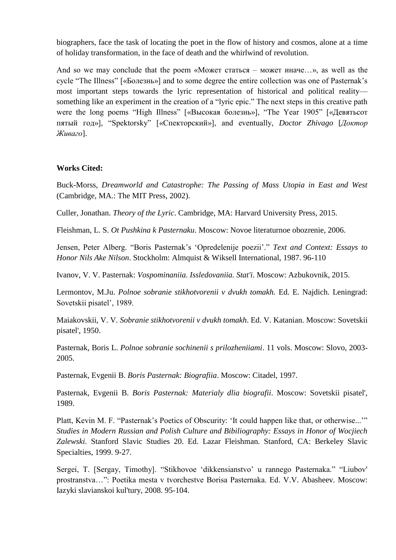biographers, face the task of locating the poet in the flow of history and cosmos, alone at a time of holiday transformation, in the face of death and the whirlwind of revolution.

And so we may conclude that the poem «Может статься – может иначе…», as well as the cycle "The Illness" [«Болезнь»] and to some degree the entire collection was one of Pasternak's most important steps towards the lyric representation of historical and political reality something like an experiment in the creation of a "lyric epic." The next steps in this creative path were the long poems "High Illness" [«Высокая болезнь»], "The Year 1905" [«Девятьсот пятый год»], "Spektorsky" [«Спекторский»], and eventually, *Doctor Zhivago* [*Доктор Живаго*].

# **Works Cited:**

Buck-Morss, *Dreamworld and Catastrophe: The Passing of Mass Utopia in East and West* (Cambridge, MA.: The MIT Press, 2002).

Culler, Jonathan. *Theory of the Lyric*. Cambridge, MA: Harvard University Press, 2015.

Fleishman, L. S. *Ot Pushkina k Pasternaku*. Moscow: Novoe literaturnoe obozrenie, 2006.

Jensen, Peter Alberg. "Boris Pasternak's 'Opredelenije poezii'." *Text and Context: Essays to Honor Nils Ake Nilson*. Stockholm: Almquist & Wiksell International, 1987. 96-110

Ivanov, V. V. Pasternak: *Vospominaniia. Issledovaniia. Stat'i*. Moscow: Azbukovnik, 2015.

Lermontov, M.Ju. *Polnoe sobranie stikhotvorenii v dvukh tomakh.* Ed. E. Najdich. Leningrad: Sovetskii pisatel', 1989.

Maiakovskii, V. V. *Sobranie stikhotvorenii v dvukh tomakh*. Ed. V. Katanian. Moscow: Sovetskii pisatel', 1950.

Pasternak, Boris L. *Polnoe sobranie sochinenii s prilozheniiami*. 11 vols. Moscow: Slovo, 2003- 2005.

Pasternak, Evgenii B. *Boris Pasternak: Biografiia*. Moscow: Citadel, 1997.

Pasternak, Evgenii B. *Boris Pasternak: Materialy dlia biografii*. Moscow: Sovetskii pisatel', 1989.

Platt, Kevin M. F. "Pasternak's Poetics of Obscurity: 'It could happen like that, or otherwise...'" *Studies in Modern Russian and Polish Culture and Bibiliography: Essays in Honor of Wocjiech Zalewski*. Stanford Slavic Studies 20. Ed. Lazar Fleishman. Stanford, CA: Berkeley Slavic Specialties, 1999. 9-27.

Sergei, T. [Sergay, Timothy]. "Stikhovoe 'dikkensianstvo' u rannego Pasternaka." "Liubov' prostranstva…": Poetika mesta v tvorchestve Borisa Pasternaka. Ed. V.V. Abasheev. Moscow: Iazyki slavianskoi kul'tury, 2008. 95-104.